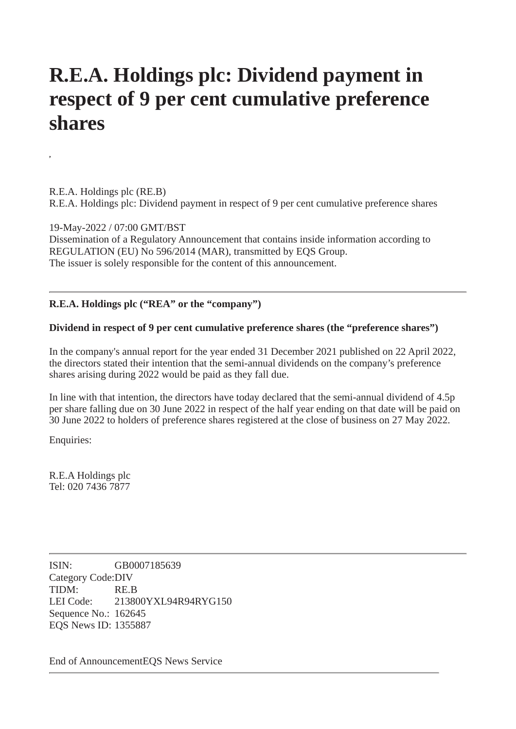## **R.E.A. Holdings plc: Dividend payment in respect of 9 per cent cumulative preference shares**

R.E.A. Holdings plc (RE.B) R.E.A. Holdings plc: Dividend payment in respect of 9 per cent cumulative preference shares

19-May-2022 / 07:00 GMT/BST Dissemination of a Regulatory Announcement that contains inside information according to REGULATION (EU) No 596/2014 (MAR), transmitted by EQS Group. The issuer is solely responsible for the content of this announcement.

## **R.E.A. Holdings plc ("REA" or the "company")**

## **Dividend in respect of 9 per cent cumulative preference shares (the "preference shares")**

In the company's annual report for the year ended 31 December 2021 published on 22 April 2022, the directors stated their intention that the semi-annual dividends on the company's preference shares arising during 2022 would be paid as they fall due.

In line with that intention, the directors have today declared that the semi-annual dividend of 4.5p per share falling due on 30 June 2022 in respect of the half year ending on that date will be paid on 30 June 2022 to holders of preference shares registered at the close of business on 27 May 2022.

Enquiries:

**,**

R.E.A Holdings plc Tel: 020 7436 7877

ISIN: GB0007185639 Category Code:DIV TIDM: RE.B LEI Code: 213800YXL94R94RYG150 Sequence No.: 162645 EQS News ID: 1355887

End of AnnouncementEQS News Service